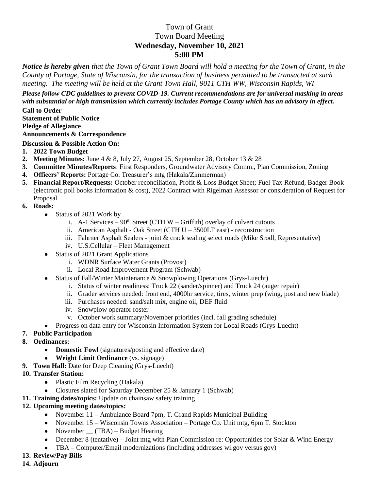# Town of Grant Town Board Meeting **Wednesday, November 10, 2021 5:00 PM**

*Notice is hereby given that the Town of Grant Town Board will hold a meeting for the Town of Grant, in the County of Portage, State of Wisconsin, for the transaction of business permitted to be transacted at such meeting. The meeting will be held at the Grant Town Hall, 9011 CTH WW, Wisconsin Rapids, WI*

*Please follow CDC guidelines to prevent COVID-19. Current recommendations are for universal masking in areas with substantial or high transmission which currently includes Portage County which has an advisory in effect.* 

## **Call to Order**

**Statement of Public Notice**

**Pledge of Allegiance** 

#### **Announcements & Correspondence**

### **Discussion & Possible Action On:**

## **1. 2022 Town Budget**

- **2. Meeting Minutes:** June 4 & 8, July 27, August 25, September 28, October 13 & 28
- **3. Committee Minutes/Reports**: First Responders, Groundwater Advisory Comm., Plan Commission, Zoning
- **4. Officers' Reports:** Portage Co. Treasurer's mtg (Hakala/Zimmerman)
- **5. Financial Report/Requests:** October reconciliation, Profit & Loss Budget Sheet; Fuel Tax Refund, Badger Book (electronic poll books information & cost), 2022 Contract with Rigelman Assessor or consideration of Request for Proposal
- **6. Roads:** 
	- Status of 2021 Work by
		- i. A-1 Services  $90<sup>th</sup>$  Street (CTH W Griffith) overlay of culvert cutouts
		- ii. American Asphalt Oak Street (CTH U 3500LF east) reconstruction
		- iii. Fahrner Asphalt Sealers joint  $\&$  crack sealing select roads (Mike Srodl, Representative)
		- iv. U.S.Cellular Fleet Management
	- Status of 2021 Grant Applications
		- i. WDNR Surface Water Grants (Provost)
		- ii. Local Road Improvement Program (Schwab)
	- Status of Fall/Winter Maintenance & Snowplowing Operations (Grys-Luecht)
		- i. Status of winter readiness: Truck 22 (sander/spinner) and Truck 24 (auger repair)
		- ii. Grader services needed: front end, 4000hr service, tires, winter prep (wing, post and new blade)
		- iii. Purchases needed: sand/salt mix, engine oil, DEF fluid
		- iv. Snowplow operator roster
		- v. October work summary/November priorities (incl. fall grading schedule)
	- Progress on data entry for Wisconsin Information System for Local Roads (Grys-Luecht)
- **7. Public Participation**
- **8. Ordinances:**
	- **Domestic Fowl** (signatures/posting and effective date)
	- **Weight Limit Ordinance** (vs. signage)
- **9. Town Hall:** Date for Deep Cleaning (Grys-Luecht)
- **10. Transfer Station:** 
	- Plastic Film Recycling (Hakala)
	- Closures slated for Saturday December 25 & January 1 (Schwab)
- **11. Training dates/topics:** Update on chainsaw safety training
- **12. Upcoming meeting dates/topics:** 
	- November  $11$  Ambulance Board 7pm, T. Grand Rapids Municipal Building
	- November 15 Wisconsin Towns Association Portage Co. Unit mtg, 6pm T. Stockton
	- November  $(TBA)$  Budget Hearing
	- December 8 (tentative) Joint mtg with Plan Commission re: Opportunities for Solar & Wind Energy
	- TBA Computer/Email modernizations (including addresses wi.gov versus gov)
- **13. Review/Pay Bills**
- **14. Adjourn**